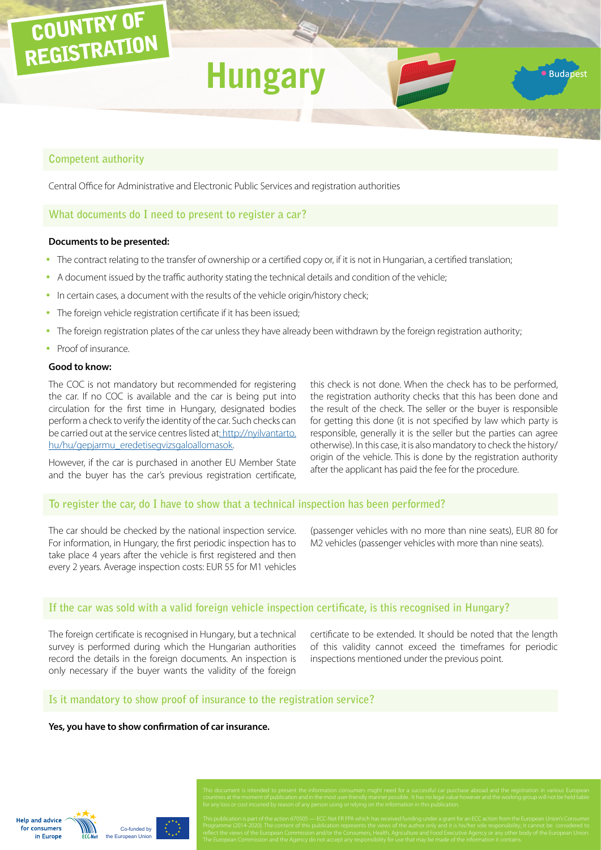# COUNTRY OF REGISTRATION

# **Hungar**

# **Competent authority**

Central Office for Administrative and Electronic Public Services and registration authorities

# **What documents do I need to present to register a car?**

#### **Documents to be presented:**

- The contract relating to the transfer of ownership or a certified copy or, if it is not in Hungarian, a certified translation;
- A document issued by the traffic authority stating the technical details and condition of the vehicle;
- In certain cases, a document with the results of the vehicle origin/history check;
- The foreign vehicle registration certificate if it has been issued;
- The foreign registration plates of the car unless they have already been withdrawn by the foreign registration authority;
- Proof of insurance.

#### **Good to know:**

The COC is not mandatory but recommended for registering the car. If no COC is available and the car is being put into circulation for the first time in Hungary, designated bodies perform a check to verify the identity of the car. Such checks can be carried out at the service centres listed at: [http://nyilvantarto.](http://nyilvantarto.hu/hu/gepjarmu_eredetisegvizsgaloallomasok) [hu/hu/gepjarmu\\_eredetisegvizsgaloallomasok](http://nyilvantarto.hu/hu/gepjarmu_eredetisegvizsgaloallomasok).

However, if the car is purchased in another EU Member State and the buyer has the car's previous registration certificate, this check is not done. When the check has to be performed, the registration authority checks that this has been done and the result of the check. The seller or the buyer is responsible for getting this done (it is not specified by law which party is responsible, generally it is the seller but the parties can agree otherwise). In this case, it is also mandatory to check the history/ origin of the vehicle. This is done by the registration authority after the applicant has paid the fee for the procedure.

· Budapes

# **To register the car, do I have to show that a technical inspection has been performed?**

The car should be checked by the national inspection service. For information, in Hungary, the first periodic inspection has to take place 4 years after the vehicle is first registered and then every 2 years. Average inspection costs: EUR 55 for M1 vehicles

(passenger vehicles with no more than nine seats), EUR 80 for M2 vehicles (passenger vehicles with more than nine seats).

# **If the car was sold with a valid foreign vehicle inspection certificate, is this recognised in Hungary?**

The foreign certificate is recognised in Hungary, but a technical survey is performed during which the Hungarian authorities record the details in the foreign documents. An inspection is only necessary if the buyer wants the validity of the foreign

certificate to be extended. It should be noted that the length of this validity cannot exceed the timeframes for periodic inspections mentioned under the previous point.

#### **Is it mandatory to show proof of insurance to the registration service?**

#### **Yes, you have to show confirmation of car insurance.**